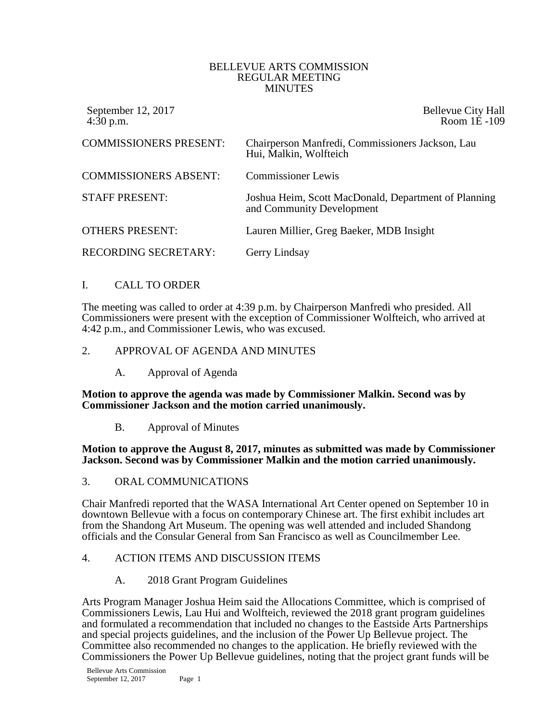#### BELLEVUE ARTS COMMISSION REGULAR MEETING MINUTES

September 12, 2017<br>4:30 p.m. Room 1E -109 Room  $1E - 109$ COMMISSIONERS PRESENT: Chairperson Manfredi, Commissioners Jackson, Lau Hui, Malkin, Wolfteich COMMISSIONERS ABSENT: Commissioner Lewis STAFF PRESENT: Joshua Heim, Scott MacDonald, Department of Planning and Community Development OTHERS PRESENT: Lauren Millier, Greg Baeker, MDB Insight RECORDING SECRETARY: Gerry Lindsay

# I. CALL TO ORDER

The meeting was called to order at 4:39 p.m. by Chairperson Manfredi who presided. All Commissioners were present with the exception of Commissioner Wolfteich, who arrived at 4:42 p.m., and Commissioner Lewis, who was excused.

2. APPROVAL OF AGENDA AND MINUTES

A. Approval of Agenda

**Motion to approve the agenda was made by Commissioner Malkin. Second was by Commissioner Jackson and the motion carried unanimously.**

B. Approval of Minutes

**Motion to approve the August 8, 2017, minutes as submitted was made by Commissioner Jackson. Second was by Commissioner Malkin and the motion carried unanimously.**

3. ORAL COMMUNICATIONS

Chair Manfredi reported that the WASA International Art Center opened on September 10 in downtown Bellevue with a focus on contemporary Chinese art. The first exhibit includes art from the Shandong Art Museum. The opening was well attended and included Shandong officials and the Consular General from San Francisco as well as Councilmember Lee.

## 4. ACTION ITEMS AND DISCUSSION ITEMS

A. 2018 Grant Program Guidelines

Arts Program Manager Joshua Heim said the Allocations Committee, which is comprised of Commissioners Lewis, Lau Hui and Wolfteich, reviewed the 2018 grant program guidelines and formulated a recommendation that included no changes to the Eastside Arts Partnerships and special projects guidelines, and the inclusion of the Power Up Bellevue project. The Committee also recommended no changes to the application. He briefly reviewed with the Commissioners the Power Up Bellevue guidelines, noting that the project grant funds will be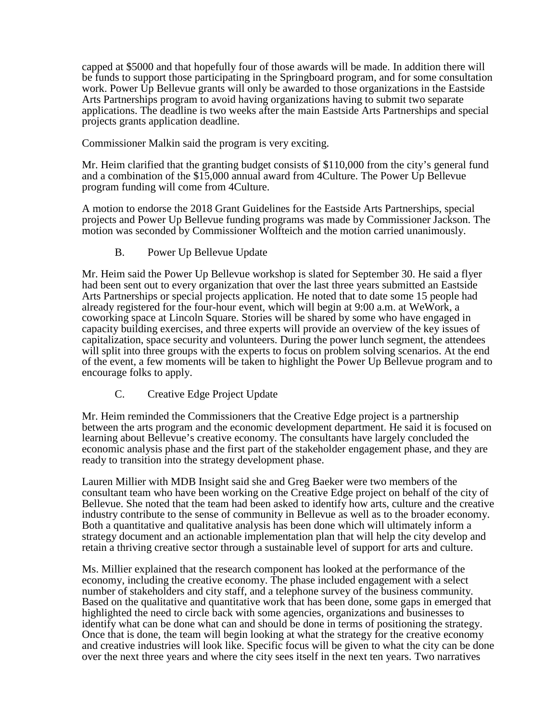capped at \$5000 and that hopefully four of those awards will be made. In addition there will be funds to support those participating in the Springboard program, and for some consultation work. Power Up Bellevue grants will only be awarded to those organizations in the Eastside Arts Partnerships program to avoid having organizations having to submit two separate applications. The deadline is two weeks after the main Eastside Arts Partnerships and special projects grants application deadline.

Commissioner Malkin said the program is very exciting.

Mr. Heim clarified that the granting budget consists of \$110,000 from the city's general fund and a combination of the \$15,000 annual award from 4Culture. The Power Up Bellevue program funding will come from 4Culture.

A motion to endorse the 2018 Grant Guidelines for the Eastside Arts Partnerships, special projects and Power Up Bellevue funding programs was made by Commissioner Jackson. The motion was seconded by Commissioner Wolfteich and the motion carried unanimously.

B. Power Up Bellevue Update

Mr. Heim said the Power Up Bellevue workshop is slated for September 30. He said a flyer had been sent out to every organization that over the last three years submitted an Eastside Arts Partnerships or special projects application. He noted that to date some 15 people had already registered for the four-hour event, which will begin at 9:00 a.m. at WeWork, a coworking space at Lincoln Square. Stories will be shared by some who have engaged in capacity building exercises, and three experts will provide an overview of the key issues of capitalization, space security and volunteers. During the power lunch segment, the attendees will split into three groups with the experts to focus on problem solving scenarios. At the end of the event, a few moments will be taken to highlight the Power Up Bellevue program and to encourage folks to apply.

C. Creative Edge Project Update

Mr. Heim reminded the Commissioners that the Creative Edge project is a partnership between the arts program and the economic development department. He said it is focused on learning about Bellevue's creative economy. The consultants have largely concluded the economic analysis phase and the first part of the stakeholder engagement phase, and they are ready to transition into the strategy development phase.

Lauren Millier with MDB Insight said she and Greg Baeker were two members of the consultant team who have been working on the Creative Edge project on behalf of the city of Bellevue. She noted that the team had been asked to identify how arts, culture and the creative industry contribute to the sense of community in Bellevue as well as to the broader economy. Both a quantitative and qualitative analysis has been done which will ultimately inform a strategy document and an actionable implementation plan that will help the city develop and retain a thriving creative sector through a sustainable level of support for arts and culture.

Ms. Millier explained that the research component has looked at the performance of the economy, including the creative economy. The phase included engagement with a select number of stakeholders and city staff, and a telephone survey of the business community. Based on the qualitative and quantitative work that has been done, some gaps in emerged that highlighted the need to circle back with some agencies, organizations and businesses to identify what can be done what can and should be done in terms of positioning the strategy. Once that is done, the team will begin looking at what the strategy for the creative economy and creative industries will look like. Specific focus will be given to what the city can be done over the next three years and where the city sees itself in the next ten years. Two narratives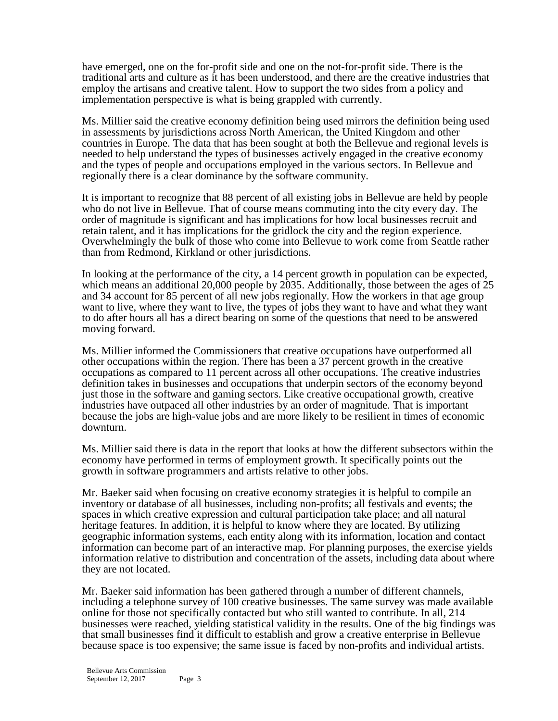have emerged, one on the for-profit side and one on the not-for-profit side. There is the traditional arts and culture as it has been understood, and there are the creative industries that employ the artisans and creative talent. How to support the two sides from a policy and implementation perspective is what is being grappled with currently.

Ms. Millier said the creative economy definition being used mirrors the definition being used in assessments by jurisdictions across North American, the United Kingdom and other countries in Europe. The data that has been sought at both the Bellevue and regional levels is needed to help understand the types of businesses actively engaged in the creative economy and the types of people and occupations employed in the various sectors. In Bellevue and regionally there is a clear dominance by the software community.

It is important to recognize that 88 percent of all existing jobs in Bellevue are held by people who do not live in Bellevue. That of course means commuting into the city every day. The order of magnitude is significant and has implications for how local businesses recruit and retain talent, and it has implications for the gridlock the city and the region experience. Overwhelmingly the bulk of those who come into Bellevue to work come from Seattle rather than from Redmond, Kirkland or other jurisdictions.

In looking at the performance of the city, a 14 percent growth in population can be expected, which means an additional 20,000 people by 2035. Additionally, those between the ages of 25 and 34 account for 85 percent of all new jobs regionally. How the workers in that age group want to live, where they want to live, the types of jobs they want to have and what they want to do after hours all has a direct bearing on some of the questions that need to be answered moving forward.

Ms. Millier informed the Commissioners that creative occupations have outperformed all other occupations within the region. There has been a 37 percent growth in the creative occupations as compared to 11 percent across all other occupations. The creative industries definition takes in businesses and occupations that underpin sectors of the economy beyond just those in the software and gaming sectors. Like creative occupational growth, creative industries have outpaced all other industries by an order of magnitude. That is important because the jobs are high-value jobs and are more likely to be resilient in times of economic downturn.

Ms. Millier said there is data in the report that looks at how the different subsectors within the economy have performed in terms of employment growth. It specifically points out the growth in software programmers and artists relative to other jobs.

Mr. Baeker said when focusing on creative economy strategies it is helpful to compile an inventory or database of all businesses, including non-profits; all festivals and events; the spaces in which creative expression and cultural participation take place; and all natural heritage features. In addition, it is helpful to know where they are located. By utilizing geographic information systems, each entity along with its information, location and contact information can become part of an interactive map. For planning purposes, the exercise yields information relative to distribution and concentration of the assets, including data about where they are not located.

Mr. Baeker said information has been gathered through a number of different channels, including a telephone survey of 100 creative businesses. The same survey was made available online for those not specifically contacted but who still wanted to contribute. In all, 214 businesses were reached, yielding statistical validity in the results. One of the big findings was that small businesses find it difficult to establish and grow a creative enterprise in Bellevue because space is too expensive; the same issue is faced by non-profits and individual artists.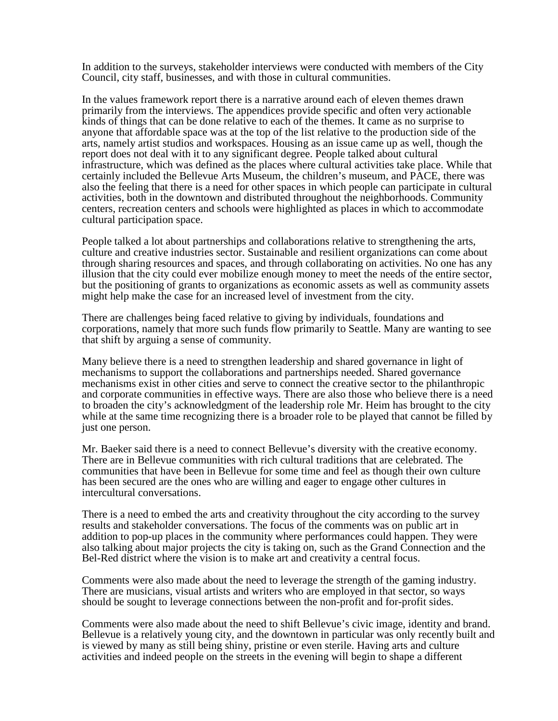In addition to the surveys, stakeholder interviews were conducted with members of the City Council, city staff, businesses, and with those in cultural communities.

In the values framework report there is a narrative around each of eleven themes drawn primarily from the interviews. The appendices provide specific and often very actionable kinds of things that can be done relative to each of the themes. It came as no surprise to anyone that affordable space was at the top of the list relative to the production side of the arts, namely artist studios and workspaces. Housing as an issue came up as well, though the report does not deal with it to any significant degree. People talked about cultural infrastructure, which was defined as the places where cultural activities take place. While that certainly included the Bellevue Arts Museum, the children's museum, and PACE, there was also the feeling that there is a need for other spaces in which people can participate in cultural activities, both in the downtown and distributed throughout the neighborhoods. Community centers, recreation centers and schools were highlighted as places in which to accommodate cultural participation space.

People talked a lot about partnerships and collaborations relative to strengthening the arts, culture and creative industries sector. Sustainable and resilient organizations can come about through sharing resources and spaces, and through collaborating on activities. No one has any illusion that the city could ever mobilize enough money to meet the needs of the entire sector, but the positioning of grants to organizations as economic assets as well as community assets might help make the case for an increased level of investment from the city.

There are challenges being faced relative to giving by individuals, foundations and corporations, namely that more such funds flow primarily to Seattle. Many are wanting to see that shift by arguing a sense of community.

Many believe there is a need to strengthen leadership and shared governance in light of mechanisms to support the collaborations and partnerships needed. Shared governance mechanisms exist in other cities and serve to connect the creative sector to the philanthropic and corporate communities in effective ways. There are also those who believe there is a need to broaden the city's acknowledgment of the leadership role Mr. Heim has brought to the city while at the same time recognizing there is a broader role to be played that cannot be filled by just one person.

Mr. Baeker said there is a need to connect Bellevue's diversity with the creative economy. There are in Bellevue communities with rich cultural traditions that are celebrated. The communities that have been in Bellevue for some time and feel as though their own culture has been secured are the ones who are willing and eager to engage other cultures in intercultural conversations.

There is a need to embed the arts and creativity throughout the city according to the survey results and stakeholder conversations. The focus of the comments was on public art in addition to pop-up places in the community where performances could happen. They were also talking about major projects the city is taking on, such as the Grand Connection and the Bel-Red district where the vision is to make art and creativity a central focus.

Comments were also made about the need to leverage the strength of the gaming industry. There are musicians, visual artists and writers who are employed in that sector, so ways should be sought to leverage connections between the non-profit and for-profit sides.

Comments were also made about the need to shift Bellevue's civic image, identity and brand. Bellevue is a relatively young city, and the downtown in particular was only recently built and is viewed by many as still being shiny, pristine or even sterile. Having arts and culture activities and indeed people on the streets in the evening will begin to shape a different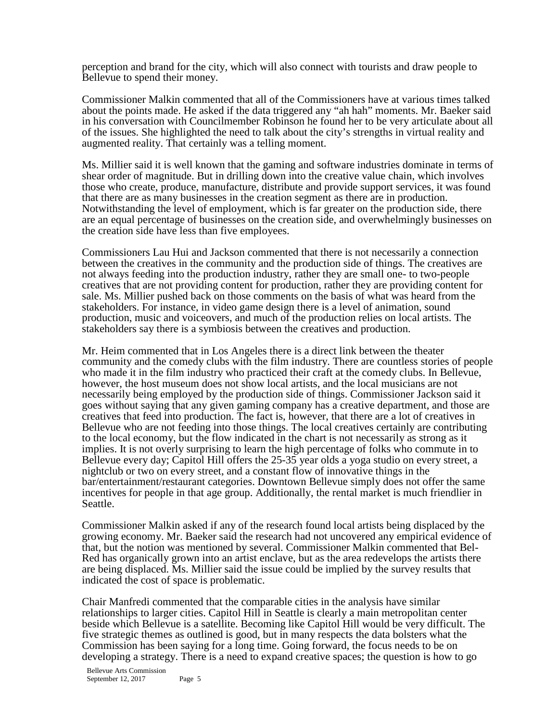perception and brand for the city, which will also connect with tourists and draw people to Bellevue to spend their money.

Commissioner Malkin commented that all of the Commissioners have at various times talked about the points made. He asked if the data triggered any "ah hah" moments. Mr. Baeker said in his conversation with Councilmember Robinson he found her to be very articulate about all of the issues. She highlighted the need to talk about the city's strengths in virtual reality and augmented reality. That certainly was a telling moment.

Ms. Millier said it is well known that the gaming and software industries dominate in terms of shear order of magnitude. But in drilling down into the creative value chain, which involves those who create, produce, manufacture, distribute and provide support services, it was found that there are as many businesses in the creation segment as there are in production. Notwithstanding the level of employment, which is far greater on the production side, there are an equal percentage of businesses on the creation side, and overwhelmingly businesses on the creation side have less than five employees.

Commissioners Lau Hui and Jackson commented that there is not necessarily a connection between the creatives in the community and the production side of things. The creatives are not always feeding into the production industry, rather they are small one- to two-people creatives that are not providing content for production, rather they are providing content for sale. Ms. Millier pushed back on those comments on the basis of what was heard from the stakeholders. For instance, in video game design there is a level of animation, sound production, music and voiceovers, and much of the production relies on local artists. The stakeholders say there is a symbiosis between the creatives and production.

Mr. Heim commented that in Los Angeles there is a direct link between the theater community and the comedy clubs with the film industry. There are countless stories of people who made it in the film industry who practiced their craft at the comedy clubs. In Bellevue, however, the host museum does not show local artists, and the local musicians are not necessarily being employed by the production side of things. Commissioner Jackson said it goes without saying that any given gaming company has a creative department, and those are creatives that feed into production. The fact is, however, that there are a lot of creatives in Bellevue who are not feeding into those things. The local creatives certainly are contributing to the local economy, but the flow indicated in the chart is not necessarily as strong as it implies. It is not overly surprising to learn the high percentage of folks who commute in to Bellevue every day; Capitol Hill offers the 25-35 year olds a yoga studio on every street, a nightclub or two on every street, and a constant flow of innovative things in the bar/entertainment/restaurant categories. Downtown Bellevue simply does not offer the same incentives for people in that age group. Additionally, the rental market is much friendlier in Seattle.

Commissioner Malkin asked if any of the research found local artists being displaced by the growing economy. Mr. Baeker said the research had not uncovered any empirical evidence of Red has organically grown into an artist enclave, but as the area redevelops the artists there are being displaced. Ms. Millier said the issue could be implied by the survey results that indicated the cost of space is problematic.

Chair Manfredi commented that the comparable cities in the analysis have similar relationships to larger cities. Capitol Hill in Seattle is clearly a main metropolitan center beside which Bellevue is a satellite. Becoming like Capitol Hill would be very difficult. The five strategic themes as outlined is good, but in many respects the data bolsters what the Commission has been saying for a long time. Going forward, the focus needs to be on developing a strategy. There is a need to expand creative spaces; the question is how to go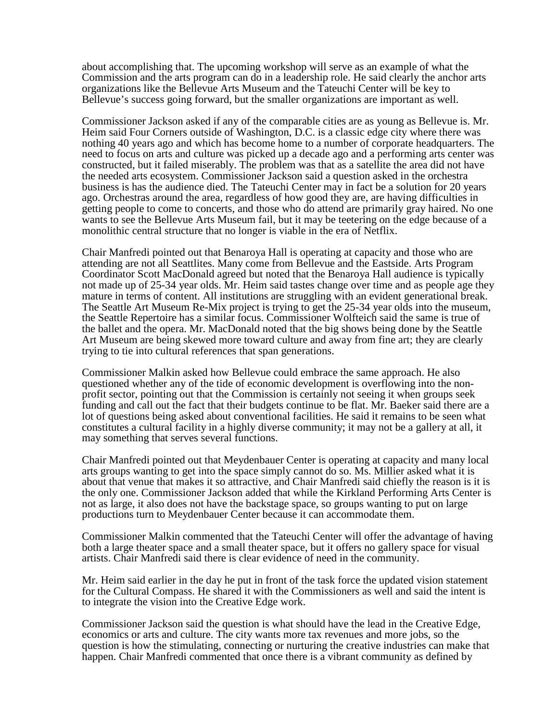about accomplishing that. The upcoming workshop will serve as an example of what the Commission and the arts program can do in a leadership role. He said clearly the anchor arts organizations like the Bellevue Arts Museum and the Tateuchi Center will be key to Bellevue's success going forward, but the smaller organizations are important as well.

Commissioner Jackson asked if any of the comparable cities are as young as Bellevue is. Mr. Heim said Four Corners outside of Washington, D.C. is a classic edge city where there was nothing 40 years ago and which has become home to a number of corporate headquarters. The need to focus on arts and culture was picked up a decade ago and a performing arts center was constructed, but it failed miserably. The problem was that as a satellite the area did not have the needed arts ecosystem. Commissioner Jackson said a question asked in the orchestra business is has the audience died. The Tateuchi Center may in fact be a solution for 20 years ago. Orchestras around the area, regardless of how good they are, are having difficulties in getting people to come to concerts, and those who do attend are primarily gray haired. No one wants to see the Bellevue Arts Museum fail, but it may be teetering on the edge because of a monolithic central structure that no longer is viable in the era of Netflix.

Chair Manfredi pointed out that Benaroya Hall is operating at capacity and those who are attending are not all Seattlites. Many come from Bellevue and the Eastside. Arts Program Coordinator Scott MacDonald agreed but noted that the Benaroya Hall audience is typically not made up of 25-34 year olds. Mr. Heim said tastes change over time and as people age they mature in terms of content. All institutions are struggling with an evident generational break. The Seattle Art Museum Re-Mix project is trying to get the 25-34 year olds into the museum, the Seattle Repertoire has a similar focus. Commissioner Wolfteich said the same is true of the ballet and the opera. Mr. MacDonald noted that the big shows being done by the Seattle Art Museum are being skewed more toward culture and away from fine art; they are clearly trying to tie into cultural references that span generations.

Commissioner Malkin asked how Bellevue could embrace the same approach. He also questioned whether any of the tide of economic development is overflowing into the nonprofit sector, pointing out that the Commission is certainly not seeing it when groups seek funding and call out the fact that their budgets continue to be flat. Mr. Baeker said there are a lot of questions being asked about conventional facilities. He said it remains to be seen what constitutes a cultural facility in a highly diverse community; it may not be a gallery at all, it may something that serves several functions.

Chair Manfredi pointed out that Meydenbauer Center is operating at capacity and many local arts groups wanting to get into the space simply cannot do so. Ms. Millier asked what it is about that venue that makes it so attractive, and Chair Manfredi said chiefly the reason is it is the only one. Commissioner Jackson added that while the Kirkland Performing Arts Center is not as large, it also does not have the backstage space, so groups wanting to put on large productions turn to Meydenbauer Center because it can accommodate them.

Commissioner Malkin commented that the Tateuchi Center will offer the advantage of having both a large theater space and a small theater space, but it offers no gallery space for visual artists. Chair Manfredi said there is clear evidence of need in the community.

Mr. Heim said earlier in the day he put in front of the task force the updated vision statement for the Cultural Compass. He shared it with the Commissioners as well and said the intent is to integrate the vision into the Creative Edge work.

Commissioner Jackson said the question is what should have the lead in the Creative Edge, economics or arts and culture. The city wants more tax revenues and more jobs, so the question is how the stimulating, connecting or nurturing the creative industries can make that happen. Chair Manfredi commented that once there is a vibrant community as defined by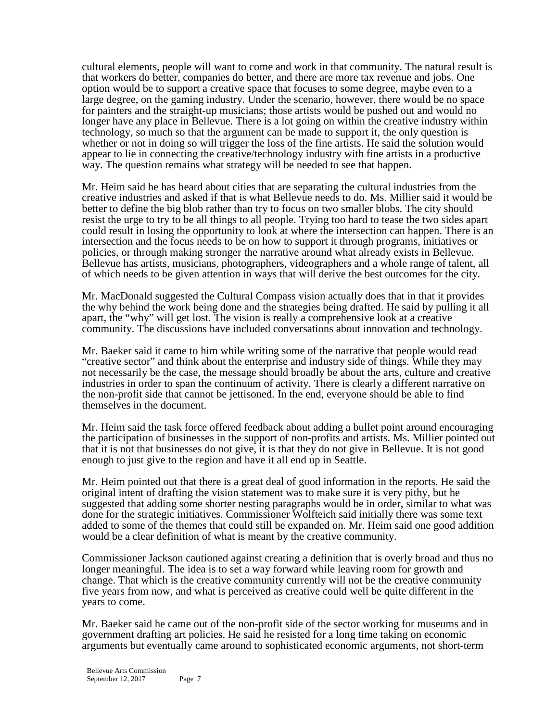cultural elements, people will want to come and work in that community. The natural result is that workers do better, companies do better, and there are more tax revenue and jobs. One option would be to support a creative space that focuses to some degree, maybe even to a large degree, on the gaming industry. Under the scenario, however, there would be no space for painters and the straight-up musicians; those artists would be pushed out and would no longer have any place in Bellevue. There is a lot going on within the creative industry within technology, so much so that the argument can be made to support it, the only question is whether or not in doing so will trigger the loss of the fine artists. He said the solution would appear to lie in connecting the creative/technology industry with fine artists in a productive way. The question remains what strategy will be needed to see that happen.

Mr. Heim said he has heard about cities that are separating the cultural industries from the creative industries and asked if that is what Bellevue needs to do. Ms. Millier said it would be better to define the big blob rather than try to focus on two smaller blobs. The city should resist the urge to try to be all things to all people. Trying too hard to tease the two sides apart could result in losing the opportunity to look at where the intersection can happen. There is an intersection and the focus needs to be on how to support it through programs, initiatives or policies, or through making stronger the narrative around what already exists in Bellevue. Bellevue has artists, musicians, photographers, videographers and a whole range of talent, all of which needs to be given attention in ways that will derive the best outcomes for the city.

Mr. MacDonald suggested the Cultural Compass vision actually does that in that it provides the why behind the work being done and the strategies being drafted. He said by pulling it all apart, the "why" will get lost. The vision is really a comprehensive look at a creative community. The discussions have included conversations about innovation and technology.

Mr. Baeker said it came to him while writing some of the narrative that people would read "creative sector" and think about the enterprise and industry side of things. While they may not necessarily be the case, the message should broadly be about the arts, culture and creative industries in order to span the continuum of activity. There is clearly a different narrative on the non-profit side that cannot be jettisoned. In the end, everyone should be able to find themselves in the document.

Mr. Heim said the task force offered feedback about adding a bullet point around encouraging the participation of businesses in the support of non-profits and artists. Ms. Millier pointed out that it is not that businesses do not give, it is that they do not give in Bellevue. It is not good enough to just give to the region and have it all end up in Seattle.

Mr. Heim pointed out that there is a great deal of good information in the reports. He said the original intent of drafting the vision statement was to make sure it is very pithy, but he suggested that adding some shorter nesting paragraphs would be in order, similar to what was done for the strategic initiatives. Commissioner Wolfteich said initially there was some text added to some of the themes that could still be expanded on. Mr. Heim said one good addition would be a clear definition of what is meant by the creative community.

Commissioner Jackson cautioned against creating a definition that is overly broad and thus no longer meaningful. The idea is to set a way forward while leaving room for growth and change. That which is the creative community currently will not be the creative community five years from now, and what is perceived as creative could well be quite different in the years to come.

Mr. Baeker said he came out of the non-profit side of the sector working for museums and in government drafting art policies. He said he resisted for a long time taking on economic arguments but eventually came around to sophisticated economic arguments, not short-term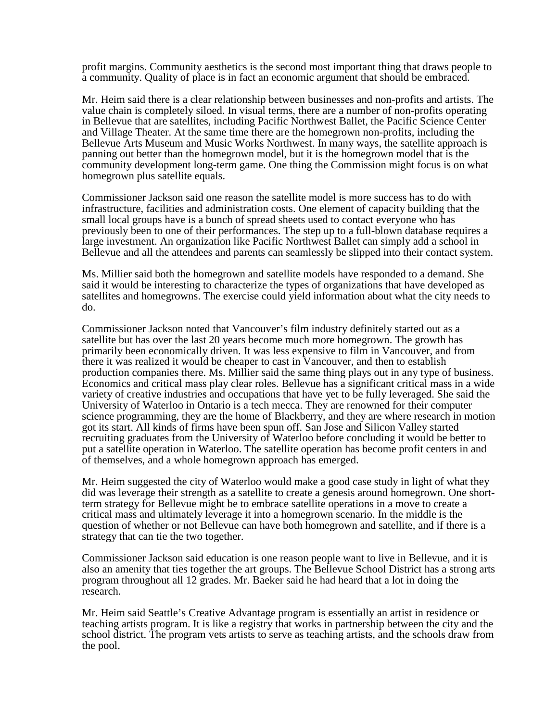profit margins. Community aesthetics is the second most important thing that draws people to a community. Quality of place is in fact an economic argument that should be embraced.

Mr. Heim said there is a clear relationship between businesses and non-profits and artists. The value chain is completely siloed. In visual terms, there are a number of non-profits operating in Bellevue that are satellites, including Pacific Northwest Ballet, the Pacific Science Center and Village Theater. At the same time there are the homegrown non-profits, including the Bellevue Arts Museum and Music Works Northwest. In many ways, the satellite approach is panning out better than the homegrown model, but it is the homegrown model that is the community development long-term game. One thing the Commission might focus is on what homegrown plus satellite equals.

Commissioner Jackson said one reason the satellite model is more success has to do with infrastructure, facilities and administration costs. One element of capacity building that the small local groups have is a bunch of spread sheets used to contact everyone who has previously been to one of their performances. The step up to a full-blown database requires a large investment. An organization like Pacific Northwest Ballet can simply add a school in Bellevue and all the attendees and parents can seamlessly be slipped into their contact system.

Ms. Millier said both the homegrown and satellite models have responded to a demand. She said it would be interesting to characterize the types of organizations that have developed as satellites and homegrowns. The exercise could yield information about what the city needs to do.

Commissioner Jackson noted that Vancouver's film industry definitely started out as a satellite but has over the last 20 years become much more homegrown. The growth has primarily been economically driven. It was less expensive to film in Vancouver, and from there it was realized it would be cheaper to cast in Vancouver, and then to establish production companies there. Ms. Millier said the same thing plays out in any type of business. Economics and critical mass play clear roles. Bellevue has a significant critical mass in a wide variety of creative industries and occupations that have yet to be fully leveraged. She said the University of Waterloo in Ontario is a tech mecca. They are renowned for their computer science programming, they are the home of Blackberry, and they are where research in motion got its start. All kinds of firms have been spun off. San Jose and Silicon Valley started recruiting graduates from the University of Waterloo before concluding it would be better to put a satellite operation in Waterloo. The satellite operation has become profit centers in and of themselves, and a whole homegrown approach has emerged.

Mr. Heim suggested the city of Waterloo would make a good case study in light of what they did was leverage their strength as a satellite to create a genesis around homegrown. One shortterm strategy for Bellevue might be to embrace satellite operations in a move to create a critical mass and ultimately leverage it into a homegrown scenario. In the middle is the question of whether or not Bellevue can have both homegrown and satellite, and if there is a strategy that can tie the two together.

Commissioner Jackson said education is one reason people want to live in Bellevue, and it is also an amenity that ties together the art groups. The Bellevue School District has a strong arts program throughout all 12 grades. Mr. Baeker said he had heard that a lot in doing the research.

Mr. Heim said Seattle's Creative Advantage program is essentially an artist in residence or teaching artists program. It is like a registry that works in partnership between the city and the school district. The program vets artists to serve as teaching artists, and the schools draw from the pool.